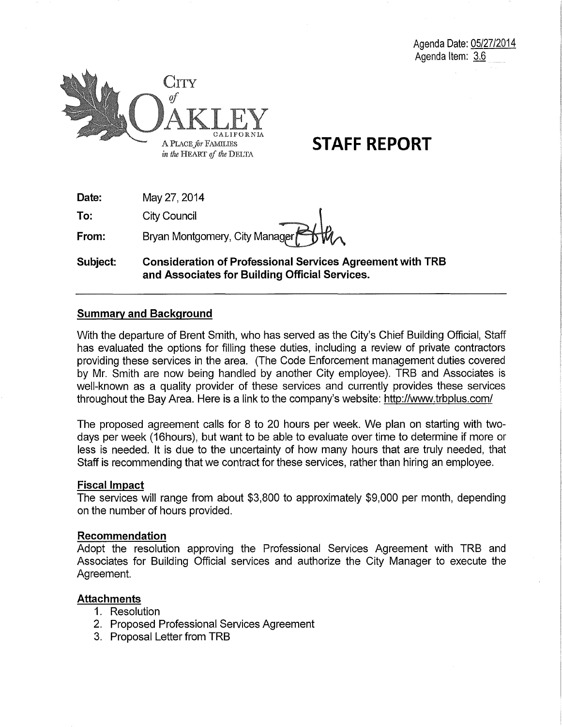

# **STAFF REPORT**

| Date: | May 27, 2014        |
|-------|---------------------|
| To:   | <b>City Council</b> |

**From:**  Bryan Montgomery, City Manager

**Subject: Consideration of Professional Services Agreement with TRB and Associates for Building Official Services.** 

## **Summary and Background**

With the departure of Brent Smith, who has served as the City's Chief Building Official, Staff has evaluated the options for filling these duties, including a review of private contractors providing these services in the area. (The Code Enforcement management duties covered by Mr. Smith are now being handled by another City employee). TRB and Associates is well-known as a quality provider of these services and currently provides these services throughout the Bay Area. Here is a link to the company's website: http://www.trbplus.com/

The proposed agreement calls for 8 to 20 hours per week. We plan on starting with twodays per week (16hours), but want to be able to evaluate over time to determine if more or less is needed. It is due to the uncertainty of how many hours that are truly needed, that Staff is recommending that we contract for these services, rather than hiring an employee.

## **Fiscal Impact**

The services will range from about \$3,800 to approximately \$9,000 per month, depending on the number of hours provided.

## **Recommendation**

Adopt the resolution approving the Professional Services Agreement with TRB and Associates for Building Official services and authorize the City Manager to execute the Agreement.

## **Attachments**

- 1. Resolution
- 2. Proposed Professional Services Agreement
- 3. Proposal Letter from TRB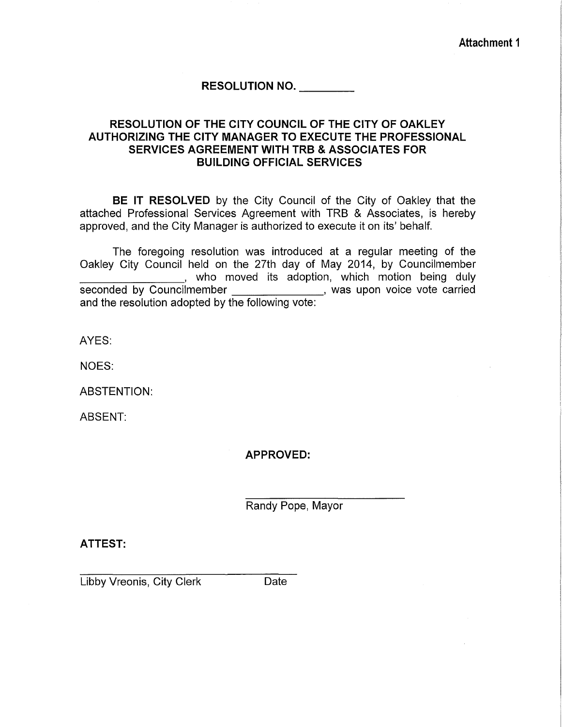**Attachment 1** 

## **RESOLUTION NO. \_\_\_ \_**

## **RESOLUTION OF THE CITY COUNCIL OF THE CITY OF OAKLEY AUTHORIZING THE CITY MANAGER TO EXECUTE THE PROFESSIONAL SERVICES AGREEMENT WITH TRB & ASSOCIATES FOR BUILDING OFFICIAL SERVICES**

**BE IT RESOLVED** by the City Council of the City of Oakley that the attached Professional Services Agreement with TRB & Associates, is hereby approved, and the City Manager is authorized to execute it on its' behalf.

The foregoing resolution was introduced at a regular meeting of the Oakley City Council held on the 27th day of May 2014, by Councilmember who moved its adoption, which motion being duly seconded by Councilmember \_\_\_\_\_\_\_\_\_\_\_\_\_\_\_\_, was upon voice vote carried and the resolution adopted by the following vote:

AYES:

NOES:

ABSTENTION:

ABSENT:

**APPROVED:** 

Randy Pope, Mayor

**ATTEST:** 

Libby Vreonis, City Clerk Date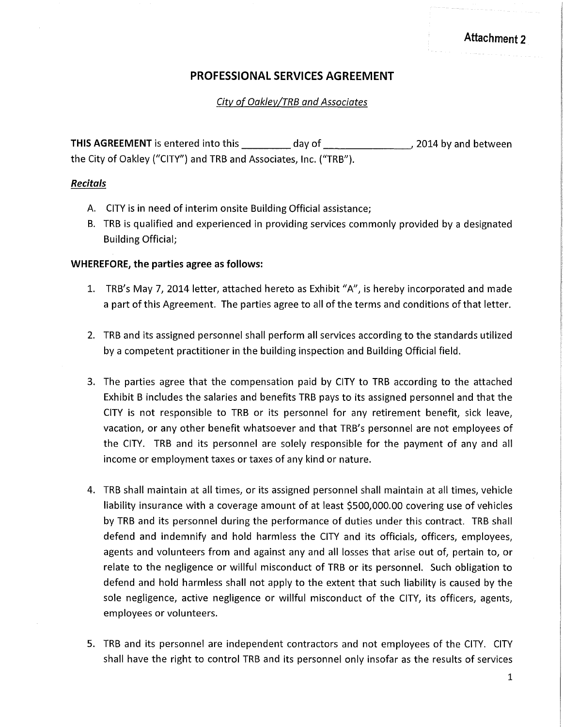## **PROFESSIONAL SERVICES AGREEMENT**

City of Oakley/TRB and Associates

**THIS AGREEMENT** is entered into this day of the day of the set of 2014 by and between the City of Oakley ("CITY") and TRB and Associates, Inc. ("TRB").

#### *Recitals*

- A. CITY is in need of interim onsite Building Official assistance;
- B. TRB is qualified and experienced in providing services commonly provided by a designated Building Official;

#### **WHEREFORE, the parties agree as follows:**

- 1. TRB's May *7,* 2014 letter, attached hereto as Exhibit "A", is hereby incorporated and made a part of this Agreement. The parties agree to all of the terms and conditions of that letter.
- 2. TRB and its assigned personnel shall perform all services according to the standards utilized by a competent practitioner in the building inspection and Building Official field.
- 3. The parties agree that the compensation paid by CITY to TRB according to the attached Exhibit B includes the salaries and benefits TRB pays to its assigned personnel and that the CITY is not responsible to TRB or its personnel for any retirement benefit, sick leave, vacation, or any other benefit whatsoever and that TRB's personnel are not employees of the CITY. TRB and its personnel are solely responsible for the payment of any and all income or employment taxes or taxes of any kind or nature.
- 4. TRB shall maintain at all times, or its assigned personnel shall maintain at all times, vehicle liability insurance with a coverage amount of at least \$500,000.00 covering use of vehicles by TRB and its personnel during the performance of duties under this contract. TRB shall defend and indemnify and hold harmless the CITY and its officials, officers, employees, agents and volunteers from and against any and all losses that arise out of, pertain to, or relate to the negligence or willful misconduct of TRB or its personnel. Such obligation to defend and hold harmless shall not apply to the extent that such liability is caused by the sole negligence, active negligence or willful misconduct of the CITY, its officers, agents, employees or volunteers.
- 5. TRB and its personnel are independent contractors and not employees of the CITY. CITY shall have the right to control TRB and its personnel only insofar as the results of services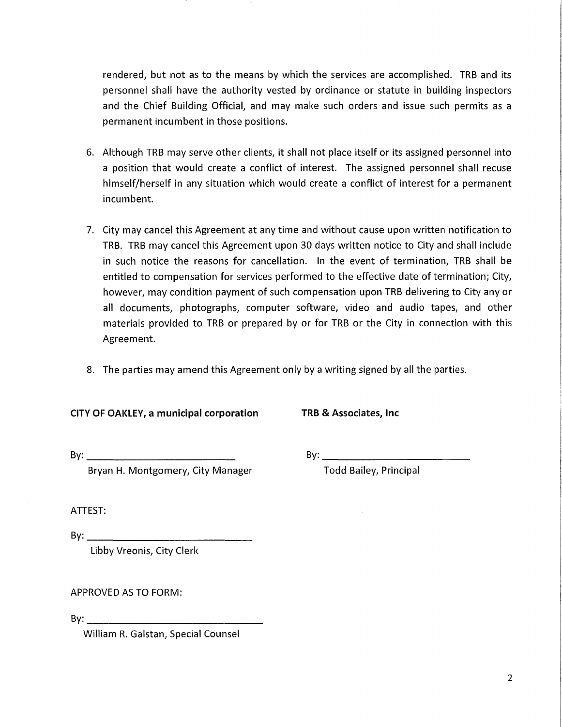rendered, but not as to the means by which the services are accomplished. TRB and its personnel shall have the authority vested by ordinance or statute in building inspectors and the Chief Building Official, and may make such orders and issue such permits as a permanent incumbent in those positions.

- 6. Although TRB may serve other clients, it shall not place itself or its assigned personnel into a position that would create a conflict of interest. The assigned personnel shall recuse himself/herself in any situation which would create a conflict of interest for a permanent incumbent.
- 7. City may cancel this Agreement at any time and without cause upon written notification to TRB. TRB may cancel this Agreement upon 30 days written notice to City and shall include in such notice the reasons for cancellation. In the event of termination, TRB shall be entitled to compensation for services performed to the effective date of termination; City, however, may condition payment of such compensation upon TRB delivering to City any or all documents, photographs, computer software, video and audio tapes, and other materials provided to TRB or prepared by or for TRB or the City in connection with this Agreement.
- 8. The parties may amend this Agreement only by a writing signed by all the parties.

## CITY OF OAKLEY, a municipal corporation TRB & Associates, Inc

Bryan H. Montgomery, City Manager Todd Bailey, Principal

By: \_\_\_\_\_\_\_\_\_\_\_\_\_\_\_\_\_\_\_\_\_\_ \_ By: \_\_\_\_\_\_\_\_\_\_\_\_\_\_\_\_\_\_\_\_\_\_ \_

ATTEST:

 $Bv:$ Libby Vreonis, City Clerk

APPROVED AS TO FORM:

 $\mathsf{By:} \_\_\_\_\_\_\_\$ 

William R. Galstan, Special Counsel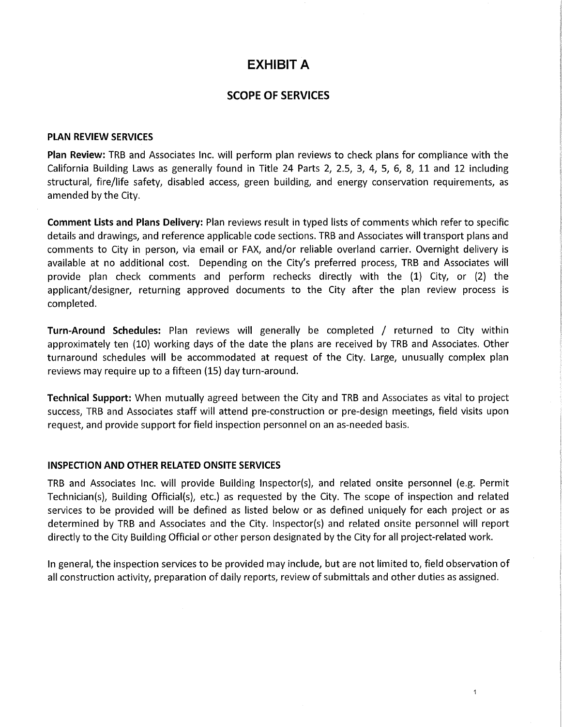## **EXHIBIT A**

## **SCOPE OF SERVICES**

#### **PLAN REVIEW SERVICES**

**Plan Review:** TRB and Associates Inc. will perform plan reviews to check plans for compliance with the California Building Laws as generally found in Title 24 Parts *2,* 2.5, *3, 4, 5, 6, 8,* 11 and 12 including structural, fire/life safety, disabled *access,* green building, and energy conservation requirements, as amended by the City.

**Comment Lists and Plans Delivery:** Plan reviews result in typed lists of comments which refer to specific details and drawings, and reference applicable code sections. TRB and Associates will transport plans and comments to City in person, via email or FAX, and/or reliable overland carrier. Overnight delivery is available at no additional cost. Depending on the City's preferred process, TRB and Associates will provide plan check comments and perform rechecks directly with the (1} City, or (2} the applicant/designer, returning approved documents to the City after the plan review process is completed.

**Turn-Around Schedules:** Plan reviews will generally be completed / returned to City within approximately ten (10} working days of the date the plans are received by TRB and Associates. Other turnaround schedules will be accommodated at request of the City. Large, unusually complex plan reviews may require up to a fifteen (15} day turn-around.

**Technical Support:** When mutually agreed between the City and TRB and Associates as vital to project success, TRB and Associates staff will attend pre-construction or pre-design meetings, field visits upon request, and provide support for field inspection personnel on an as-needed basis.

#### **INSPECTION AND OTHER RELATED ONSITE SERVICES**

TRB and Associates Inc. will provide Building Inspector(s), and related onsite personnel (e.g. Permit Technician(s}, Building Official(s}, etc.} as requested by the City. The scope of inspection and related services to be provided will be defined as listed below or as defined uniquely for each project or as determined by TRB and Associates and the City. lnspector(s} and related onsite personnel will report directly to the City Building Official or other person designated by the City for all project-related work.

In general, the inspection services to be provided may include, but are not limited *to,* field observation of all construction activity, preparation of daily reports, review of submittals and other duties as assigned.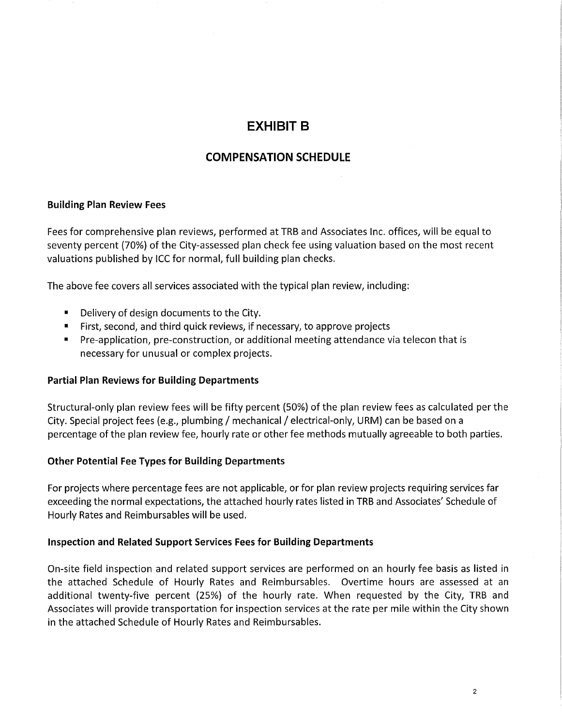## EXHIBIT B

## COMPENSATION SCHEDULE

#### Building Plan Review Fees

Fees for comprehensive plan reviews, performed at TRB and Associates Inc. offices, will be equal to seventy percent (70%) of the City-assessed plan check fee using valuation based on the most recent valuations published by ICC for normal, full building plan checks.

The above fee covers all services associated with the typical plan review, including:

- Delivery of design documents to the City.
- First, second, and third quick reviews, if necessary, to approve projects
- Pre-application, pre-construction, or additional meeting attendance via telecon that is necessary for unusual or complex projects.

#### Partial Plan Reviews for Building Departments

Structural-only plan review fees will be fifty percent (50%) of the plan review fees as calculated per the City. Special project fees (e.g., plumbing / mechanical / electrical-only, URM) can be based on a percentage of the plan review fee, hourly rate or other fee methods mutually agreeable to both parties.

#### Other Potential Fee Types for Building Departments

For projects where percentage fees are not applicable, or for plan review projects requiring services far exceeding the normal expectations, the attached hourly rates listed in TRB and Associates' Schedule of Hourly Rates and Reimbursables will be used.

#### Inspection and Related Support Services Fees for Building Departments

On-site field inspection and related support services are performed on an hourly fee basis as listed in the attached Schedule of Hourly Rates and Reimbursables. Overtime hours are assessed at an additional twenty-five percent (25%) of the hourly rate. When requested by the City, TRB and Associates will provide transportation for inspection services at the rate per mile within the City shown in the attached Schedule of Hourly Rates and Reimbursables.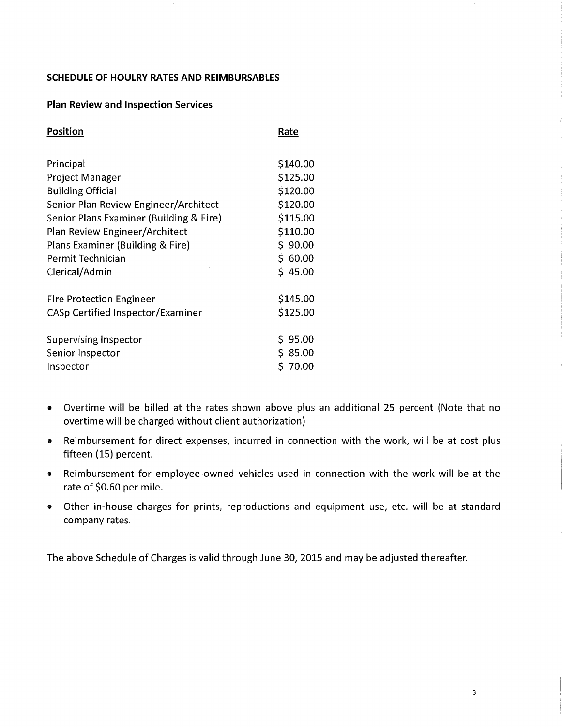#### **SCHEDULE OF HOULRY RATES AND REIMBURSABLE\$**

#### **Plan Review and Inspection Services**

| Rate        |
|-------------|
| \$140.00    |
| \$125.00    |
| \$120.00    |
| \$120.00    |
| \$115.00    |
| \$110.00    |
| \$90.00     |
| \$60.00     |
| \$45.00     |
| \$145.00    |
| \$125.00    |
| 95.00<br>S. |
| \$ 85.00    |
| \$70.00     |
|             |

- Overtime will be billed at the rates shown above plus an additional 25 percent (Note that no overtime will be charged without client authorization)
- Reimbursement for direct expenses, incurred in connection with the work, will be at cost plus fifteen (15) percent.
- Reimbursement for employee-owned vehicles used in connection with the work will be at the rate of \$0.60 per mile.
- Other in-house charges for prints, reproductions and equipment use, etc. will be at standard company rates.

The above Schedule of Charges is valid through June 30, 2015 and may be adjusted thereafter.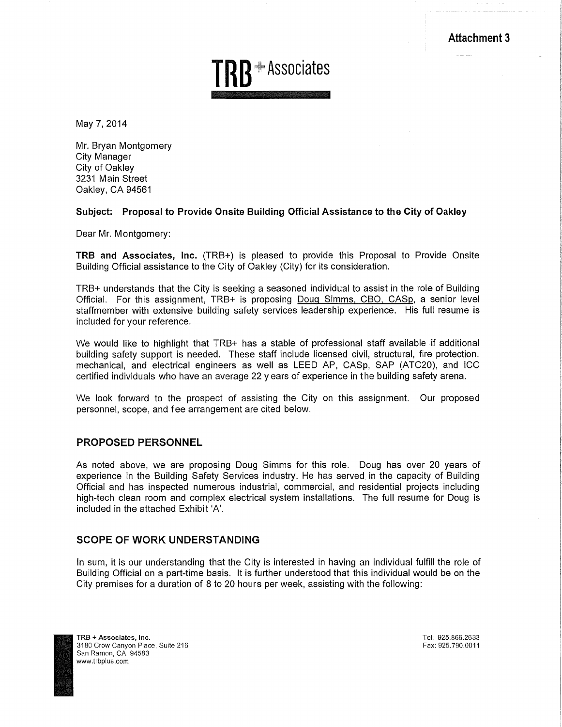Attachment 3



May 7, 2014

Mr. Bryan Montgomery City Manager City of Oakley 3231 Main Street Oakley, CA 94561

#### Subject: Proposal to Provide Onsite Building Official Assistance to the City of Oakley

Dear Mr. Montgomery:

TRB and Associates, Inc. (TRB+) is pleased to provide this Proposal to Provide Onsite Building Official assistance to the City of Oakley (City) for its consideration.

TRB+ understands that the City is seeking a seasoned individual to assist in the role of Building Official. For this assignment, TRB+ is proposing Doug Simms. CBO. CASp, a senior level staffmember with extensive building safety services leadership experience. His full resume is included for your reference.

We would like to highlight that TRB+ has a stable of professional staff available if additional building safety support is needed. These staff include licensed civil, structural, fire protection, mechanical, and electrical engineers as well as LEED AP, CASp, SAP (ATC20), and ICC certified individuals who have an average 22 years of experience in the building safety arena.

We look forward to the prospect of assisting the City on this assignment. Our proposed personnel, scope, and fee arrangement are cited below.

#### PROPOSED PERSONNEL

As noted above, we are proposing Doug Simms for this role. Doug has over 20 years of experience in the Building Safety Services industry. He has served. in the capacity of Building Official and has inspected numerous industrial, commercial, and residential projects including high-tech clean room and complex electrical system installations. The full resume for Doug is included in the attached Exhibit 'A'.

#### SCOPE OF WORK UNDERSTANDING

In sum, it is our understanding that the City is interested in having an individual fulfill the role of Building Official on a part-time basis. It is further understood that this individual would be on the City premises for a duration of 8 to 20 hours per week, assisting with the following:

Tel: 925.866.2633 Fax: 925.790.0011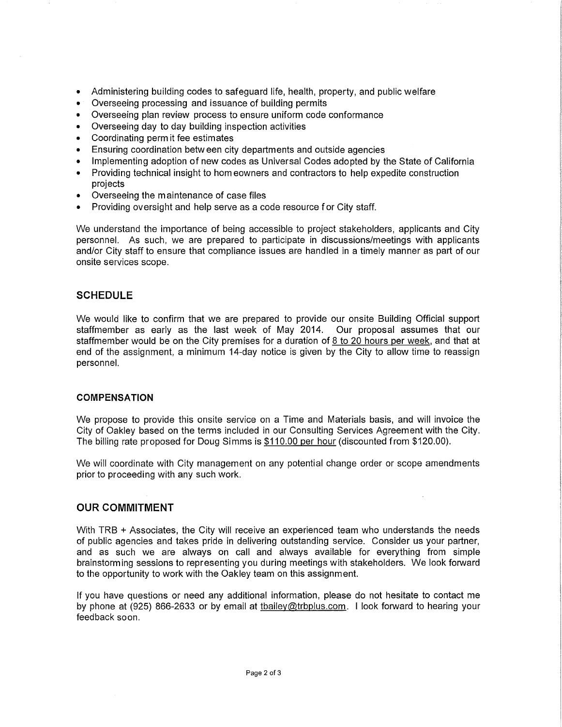- Administering building codes to safeguard life, health, property, and public welfare
- Overseeing processing and issuance of building permits
- Overseeing plan review process to ensure uniform code conformance
- Overseeing day to day building inspection activities
- Coordinating perm it fee estimates
- Ensuring coordination between city departments and outside agencies
- Implementing adoption of new codes as Universal Codes adopted by the State of California
- Providing technical insight to homeowners and contractors to help expedite construction projects
- Overseeing the maintenance of case files
- Providing oversight and help serve as a code resource for City staff.

We understand the importance of being accessible to project stakeholders, applicants and City personnel. As such, we are prepared to participate in discussions/meetings with applicants and/or City staff to ensure that compliance issues are handled in a timely manner as part of our onsite services scope.

#### **SCHEDULE**

We would like to confirm that we are prepared to provide our onsite Building Official support staffmember as early as the last week of May 2014. Our proposal assumes that our staffmember would be on the City premises for a duration of  $8$  to 20 hours per week, and that at end of the assignment, a minimum 14-day notice is given by the City to allow time to reassign personnel.

#### **COMPENSATION**

We propose to provide this onsite service on a Time and Materials basis, and will invoice the City of Oakley based on the terms included in our Consulting Services Agreement with the City. The billing rate proposed for Doug Simms is \$110.00 per hour (discounted from \$120.00).

We will coordinate with City management on any potential change order or scope amendments prior to proceeding with any such work.

#### **OUR COMMITMENT**

With TRB + Associates, the City will receive an experienced team who understands the needs of public agencies and takes pride in delivering outstanding service. Consider us your partner, and as such we are always on call and always available for everything from simple brainstorming sessions to representing you during meetings with stakeholders. We look forward to the opportunity to work with the Oakley team on this assignment.

If you have questions or need any additional information, please do not hesitate to contact me by phone at (925) 866-2633 or by email at tbailey@trbplus.com. I look forward to hearing your feedback soon.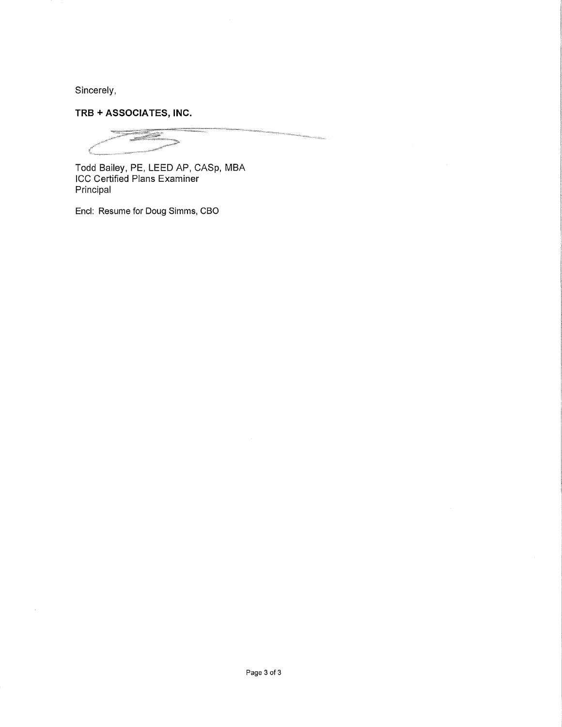Sincerely,

**TRB + ASSOCIATES, INC.** 

animai saille

Todd Bailey, PE, LEED AP, GASp, MBA ICC Certified Plans Examiner Principal

Encl: Resume for Doug Simms, CBO